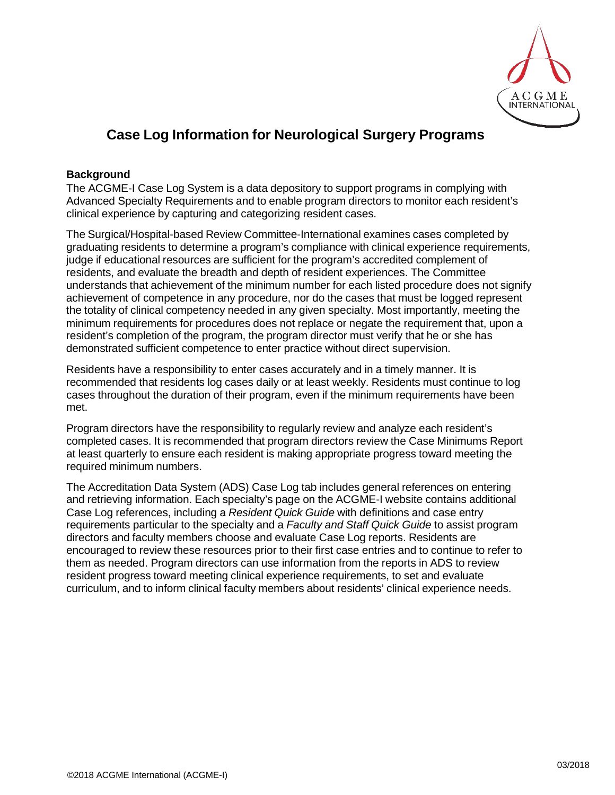

# **Case Log Information for Neurological Surgery Programs**

## **Background**

The ACGME-I Case Log System is a data depository to support programs in complying with Advanced Specialty Requirements and to enable program directors to monitor each resident's clinical experience by capturing and categorizing resident cases.

The Surgical/Hospital-based Review Committee-International examines cases completed by graduating residents to determine a program's compliance with clinical experience requirements, judge if educational resources are sufficient for the program's accredited complement of residents, and evaluate the breadth and depth of resident experiences. The Committee understands that achievement of the minimum number for each listed procedure does not signify achievement of competence in any procedure, nor do the cases that must be logged represent the totality of clinical competency needed in any given specialty. Most importantly, meeting the minimum requirements for procedures does not replace or negate the requirement that, upon a resident's completion of the program, the program director must verify that he or she has demonstrated sufficient competence to enter practice without direct supervision.

Residents have a responsibility to enter cases accurately and in a timely manner. It is recommended that residents log cases daily or at least weekly. Residents must continue to log cases throughout the duration of their program, even if the minimum requirements have been met.

Program directors have the responsibility to regularly review and analyze each resident's completed cases. It is recommended that program directors review the Case Minimums Report at least quarterly to ensure each resident is making appropriate progress toward meeting the required minimum numbers.

The Accreditation Data System (ADS) Case Log tab includes general references on entering and retrieving information. Each specialty's page on the ACGME-I website contains additional Case Log references, including a *Resident Quick Guide* with definitions and case entry requirements particular to the specialty and a *Faculty and Staff Quick Guide* to assist program directors and faculty members choose and evaluate Case Log reports. Residents are encouraged to review these resources prior to their first case entries and to continue to refer to them as needed. Program directors can use information from the reports in ADS to review resident progress toward meeting clinical experience requirements, to set and evaluate curriculum, and to inform clinical faculty members about residents' clinical experience needs.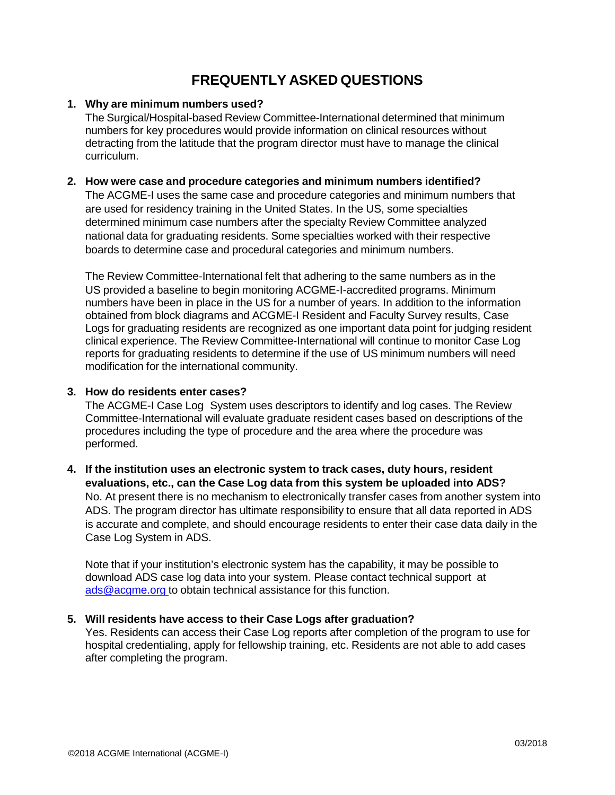## **FREQUENTLY ASKED QUESTIONS**

## **1. Why are minimum numbers used?**

The Surgical/Hospital-based Review Committee-International determined that minimum numbers for key procedures would provide information on clinical resources without detracting from the latitude that the program director must have to manage the clinical curriculum.

#### **2. How were case and procedure categories and minimum numbers identified?**

The ACGME-I uses the same case and procedure categories and minimum numbers that are used for residency training in the United States. In the US, some specialties determined minimum case numbers after the specialty Review Committee analyzed national data for graduating residents. Some specialties worked with their respective boards to determine case and procedural categories and minimum numbers.

The Review Committee-International felt that adhering to the same numbers as in the US provided a baseline to begin monitoring ACGME-I-accredited programs. Minimum numbers have been in place in the US for a number of years. In addition to the information obtained from block diagrams and ACGME-I Resident and Faculty Survey results, Case Logs for graduating residents are recognized as one important data point for judging resident clinical experience. The Review Committee-International will continue to monitor Case Log reports for graduating residents to determine if the use of US minimum numbers will need modification for the international community.

### **3. How do residents enter cases?**

The ACGME-I Case Log System uses descriptors to identify and log cases. The Review Committee-International will evaluate graduate resident cases based on descriptions of the procedures including the type of procedure and the area where the procedure was performed.

## **4. If the institution uses an electronic system to track cases, duty hours, resident evaluations, etc., can the Case Log data from this system be uploaded into ADS?** No. At present there is no mechanism to electronically transfer cases from another system into ADS. The program director has ultimate responsibility to ensure that all data reported in ADS is accurate and complete, and should encourage residents to enter their case data daily in the Case Log System in ADS.

Note that if your institution's electronic system has the capability, it may be possible to download ADS case log data into your system. Please contact technical support at [ads@acgme.org](mailto:ads@acgme.org) to obtain technical assistance for this function.

## **5. Will residents have access to their Case Logs after graduation?**

Yes. Residents can access their Case Log reports after completion of the program to use for hospital credentialing, apply for fellowship training, etc. Residents are not able to add cases after completing the program.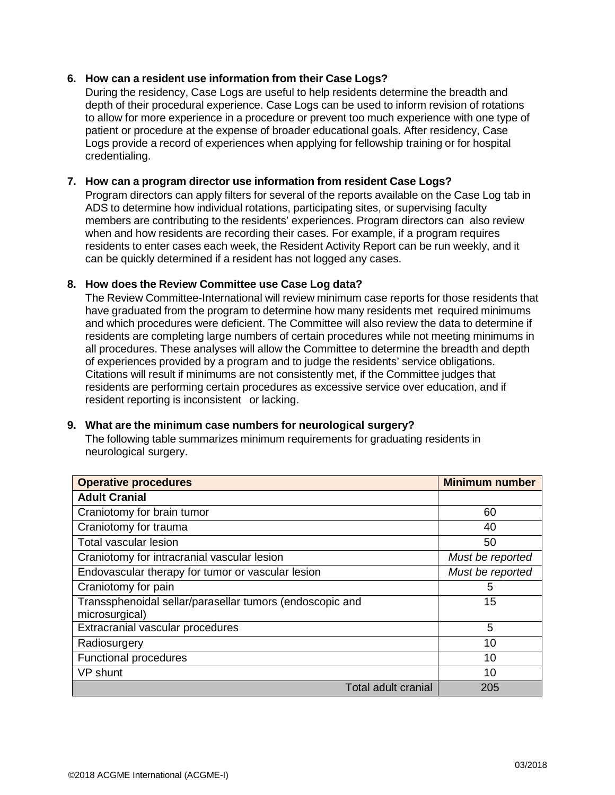#### **6. How can a resident use information from their Case Logs?**

During the residency, Case Logs are useful to help residents determine the breadth and depth of their procedural experience. Case Logs can be used to inform revision of rotations to allow for more experience in a procedure or prevent too much experience with one type of patient or procedure at the expense of broader educational goals. After residency, Case Logs provide a record of experiences when applying for fellowship training or for hospital credentialing.

#### **7. How can a program director use information from resident Case Logs?**

Program directors can apply filters for several of the reports available on the Case Log tab in ADS to determine how individual rotations, participating sites, or supervising faculty members are contributing to the residents' experiences. Program directors can also review when and how residents are recording their cases. For example, if a program requires residents to enter cases each week, the Resident Activity Report can be run weekly, and it can be quickly determined if a resident has not logged any cases.

#### **8. How does the Review Committee use Case Log data?**

The Review Committee-International will review minimum case reports for those residents that have graduated from the program to determine how many residents met required minimums and which procedures were deficient. The Committee will also review the data to determine if residents are completing large numbers of certain procedures while not meeting minimums in all procedures. These analyses will allow the Committee to determine the breadth and depth of experiences provided by a program and to judge the residents' service obligations. Citations will result if minimums are not consistently met, if the Committee judges that residents are performing certain procedures as excessive service over education, and if resident reporting is inconsistent or lacking.

#### **9. What are the minimum case numbers for neurological surgery?**

The following table summarizes minimum requirements for graduating residents in neurological surgery.

| <b>Operative procedures</b>                              | <b>Minimum number</b> |
|----------------------------------------------------------|-----------------------|
| <b>Adult Cranial</b>                                     |                       |
| Craniotomy for brain tumor                               | 60                    |
| Craniotomy for trauma                                    | 40                    |
| <b>Total vascular lesion</b>                             | 50                    |
| Craniotomy for intracranial vascular lesion              | Must be reported      |
| Endovascular therapy for tumor or vascular lesion        | Must be reported      |
| Craniotomy for pain                                      | 5                     |
| Transsphenoidal sellar/parasellar tumors (endoscopic and | 15                    |
| microsurgical)                                           |                       |
| Extracranial vascular procedures                         | 5                     |
| Radiosurgery                                             | 10                    |
| <b>Functional procedures</b>                             | 10                    |
| VP shunt                                                 | 10                    |
| <b>Total adult cranial</b>                               | 205                   |